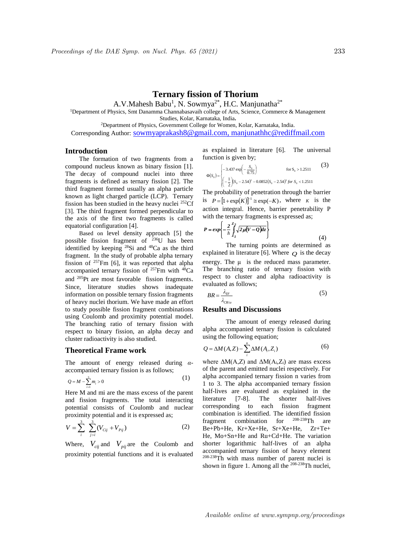# **Ternary fission of Thorium**

A.V.Mahesh Babu<sup>1</sup>, N. Sowmya<sup>2\*</sup>, H.C. Manjunatha<sup>2\*</sup>

<sup>1</sup>Department of Physics, Smt Danamma Channabasavaih college of Arts, Science, Commerce & Management

Studies, Kolar, Karnataka, India**.**

<sup>2</sup>Department of Physics, Government College for Women, Kolar, Karnataka, India.

Corresponding Author: sowmyaprakash8@gmail.com, manjunathhc@rediffmail.com

## **Introduction**

The formation of two fragments from a compound nucleus known as binary fission [1]. The decay of compound nuclei into three fragments is defined as ternary fission [2]. The third fragment formed usually an alpha particle known as light charged particle (LCP). Ternary fission has been studied in the heavy nuclei <sup>252</sup>Cf [3]. The third fragment formed perpendicular to the axis of the first two fragments is called equatorial configuration [4].

Based on level density approach [5] the possible fission fragment of <sup>236</sup>U has been identified by keeping <sup>28</sup>Si and <sup>48</sup>Ca as the third fragment. In the study of probable alpha ternary fission of <sup>257</sup>Fm [6], it was reported that alpha accompanied ternary fission of  $^{257}$ Fm with  $^{48}$ Ca and <sup>205</sup>Pt are most favorable fission fragments. Since, literature studies shows inadequate information on possible ternary fission fragments of heavy nuclei thorium. We have made an effort to study possible fission fragment combinations using Coulomb and proximity potential model. The branching ratio of ternary fission with respect to binary fission, an alpha decay and cluster radioactivity is also studied.

#### **Theoretical Frame work**

The amount of energy released during *α*accompanied ternary fission is as follows;

$$
Q = M - \sum_{i=1}^{3} m_i > 0
$$
 (1)

Here M and mi are the mass excess of the parent and fission fragments. The total interacting potential consists of Coulomb and nuclear proximity potential and it is expressed as;

$$
V = \sum_{i}^{3} \sum_{j>i}^{3} (V_{Cij} + V_{Pij})
$$
 (2)

Where,  $V_{cij}$  and  $V_{pij}$  are the Coulomb and proximity potential functions and it is evaluated

as explained in literature [6]. The universal function is given by;

$$
\Phi(S_0) = \begin{cases}\n-3.437 \exp\left(-\frac{S_0}{0.75}\right) & \text{for } S_0 > 1.2511 \\
\left(-\frac{1}{2}\right)\left(S_0 - 2.54\right)^2 - 0.0852\left(S_0 - 2.54\right)^3 \text{ for } S_0 < 1.2511\n\end{cases}
$$
\n(3)

The probability of penetration through the barrier is  $P = [1 + \exp(K)]^{-1} \approx \exp(-K)$ , where *K* is the action integral. Hence, barrier penetrability P with the ternary fragments is expressed as;

$$
P = exp\left\{-\frac{2}{\hbar} \int_{Z_I}^{Z_2} \sqrt{2\mu (V - Q)dz}\right\}
$$
(4)

The turning points are determined as explained in literature [6]. Where  $Q$  is the decay energy. The μ is the reduced mass parameter. The branching ratio of ternary fission with respect to cluster and alpha radioactivity is evaluated as follows;

$$
BR = \frac{\lambda_{TF}}{\lambda_{CK/\alpha}}\tag{5}
$$

#### **Results and Discussions**

The amount of energy released during alpha accompanied ternary fission is calculated using the following equation;

$$
Q = \Delta M(A, Z) - \sum_{i}^{n} \Delta M(A_i, Z_i)
$$
 (6)

where  $\Delta M(A,Z)$  and  $\Delta M(A_i,Z_i)$  are mass excess of the parent and emitted nuclei respectively. For alpha accompanied ternary fission n varies from 1 to 3. The alpha accompanied ternary fission half-lives are evaluated as explained in the literature [7-8]. The shorter half-lives corresponding to each fission fragment combination is identified. The identified fission<br>fragment combination for  $^{208-238}$ Th are fragment combination for 208-238Th are Be+Pb+He, Kr+Xe+He, Sr+Xe+He, Zr+Te+ He, Mo+Sn+He and Ru+Cd+He. The variation shorter logarithmic half-lives of an alpha accompanied ternary fission of heavy element 208-238Th with mass number of parent nuclei is shown in figure 1. Among all the  $208-238$ Th nuclei,

Available online at www.sympnp.org/proceedings